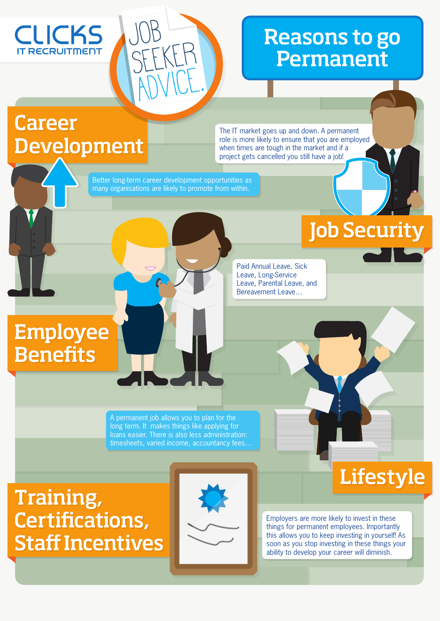#### **CLICKS RECRUITMENT**

#### Reasons to go Permanent

### Career Development

The IT market goes up and down. A permanent role is more likely to ensure that you are employed when times are tough in the market and if a project gets cancelled you still have a job!

Better long-term career development opportunities as many organisations are likely to promote from within.

Job

SEEKER

ADVICE.

## Job Security

Paid Annual Leave, Sick Leave, Long-Service Leave, Parental Leave, and Bereavement Leave…

#### **Employee Benefits**

A permanent job allows you to plan for the long term. It makes things like applying for loans easier. There is also less administration: timesheets, varied income, accountancy fees…

Training, Certifications, Staff Incentives



Employers are more likely to invest in these things for permanent employees. Importantly this allows you to keep investing in yourself! As soon as you stop investing in these things your ability to develop your career will diminish.

**Lifestyle**